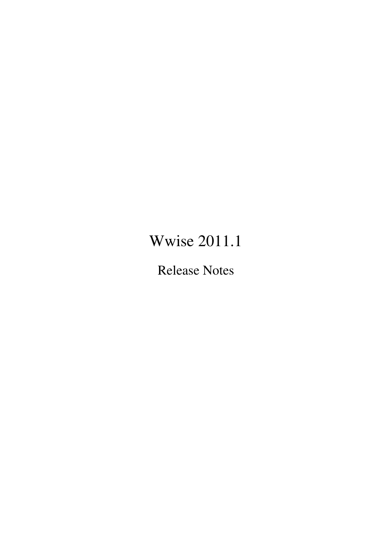# Wwise 2011.1

Release Notes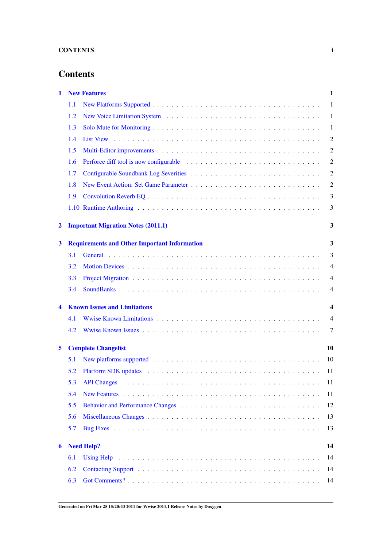## **Contents**

| 1                       |                                                     | <b>New Features</b>                       | 1              |
|-------------------------|-----------------------------------------------------|-------------------------------------------|----------------|
|                         | 1.1                                                 |                                           | $\mathbf{1}$   |
|                         | 1.2                                                 |                                           | 1              |
|                         | 1.3                                                 |                                           | 1              |
|                         | 1.4                                                 |                                           | 2              |
|                         | 1.5                                                 |                                           | 2              |
|                         | 1.6                                                 |                                           | 2              |
|                         | 1.7                                                 |                                           | $\overline{2}$ |
|                         | 1.8                                                 |                                           | 2              |
|                         | 1.9                                                 |                                           | 3              |
|                         |                                                     |                                           | 3              |
| $\overline{\mathbf{2}}$ |                                                     | <b>Important Migration Notes (2011.1)</b> | 3              |
| 3                       | <b>Requirements and Other Important Information</b> |                                           |                |
|                         | 3.1                                                 |                                           | 3              |
|                         | 3.2                                                 |                                           | $\overline{4}$ |
|                         | 3.3                                                 |                                           | 4              |
|                         | 3.4                                                 |                                           | 4              |
| $\blacktriangleleft$    | <b>Known Issues and Limitations</b>                 |                                           |                |
|                         | 4.1                                                 |                                           | $\overline{4}$ |
|                         | 4.2                                                 |                                           | 7              |
| 5                       | <b>Complete Changelist</b>                          |                                           |                |
|                         | 5.1                                                 |                                           | 10             |
|                         | 5.2                                                 |                                           | 11             |
|                         | 5.3                                                 |                                           | 11             |
|                         | 5.4                                                 |                                           | 11             |
|                         | 5.5                                                 |                                           | 12             |
|                         | 5.6                                                 |                                           | 13             |
|                         | 5.7                                                 |                                           | 13             |
| 6                       | 14<br><b>Need Help?</b>                             |                                           |                |
|                         | 6.1                                                 |                                           | 14             |
|                         | 6.2                                                 |                                           | 14             |
|                         | 6.3                                                 |                                           | 14             |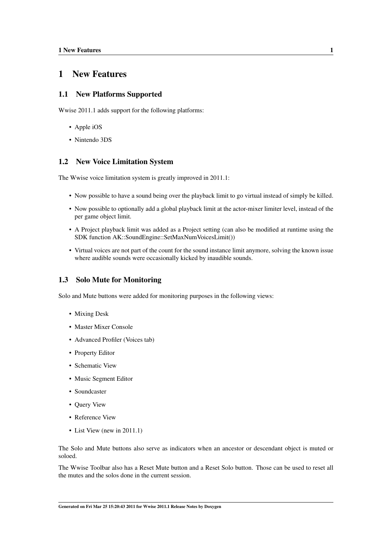## <span id="page-2-0"></span>1 New Features

#### <span id="page-2-1"></span>1.1 New Platforms Supported

Wwise 2011.1 adds support for the following platforms:

- Apple iOS
- Nintendo 3DS

#### <span id="page-2-5"></span><span id="page-2-2"></span>1.2 New Voice Limitation System

The Wwise voice limitation system is greatly improved in 2011.1:

- Now possible to have a sound being over the playback limit to go virtual instead of simply be killed.
- Now possible to optionally add a global playback limit at the actor-mixer limiter level, instead of the per game object limit.
- A Project playback limit was added as a Project setting (can also be modified at runtime using the SDK function AK::SoundEngine::SetMaxNumVoicesLimit())
- Virtual voices are not part of the count for the sound instance limit anymore, solving the known issue where audible sounds were occasionally kicked by inaudible sounds.

#### <span id="page-2-4"></span><span id="page-2-3"></span>1.3 Solo Mute for Monitoring

Solo and Mute buttons were added for monitoring purposes in the following views:

- Mixing Desk
- Master Mixer Console
- Advanced Profiler (Voices tab)
- Property Editor
- Schematic View
- Music Segment Editor
- Soundcaster
- Query View
- Reference View
- List View (new in 2011.1)

The Solo and Mute buttons also serve as indicators when an ancestor or descendant object is muted or soloed.

The Wwise Toolbar also has a Reset Mute button and a Reset Solo button. Those can be used to reset all the mutes and the solos done in the current session.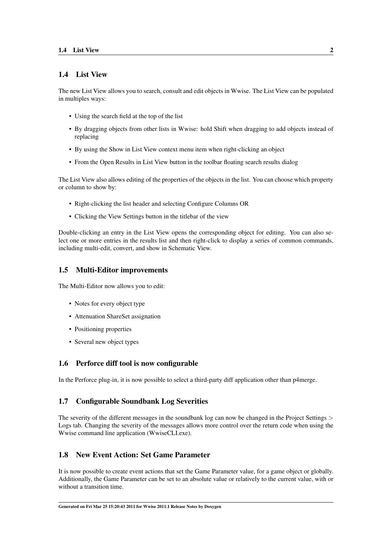#### <span id="page-3-0"></span>1.4 List View

The new List View allows you to search, consult and edit objects in Wwise. The List View can be populated in multiples ways:

- Using the search field at the top of the list
- By dragging objects from other lists in Wwise: hold Shift when dragging to add objects instead of replacing
- By using the Show in List View context menu item when right-clicking an object
- From the Open Results in List View button in the toolbar floating search results dialog

The List View also allows editing of the properties of the objects in the list. You can choose which property or column to show by:

- Right-clicking the list header and selecting Configure Columns OR
- <span id="page-3-5"></span>• Clicking the View Settings button in the titlebar of the view

Double-clicking an entry in the List View opens the corresponding object for editing. You can also select one or more entries in the results list and then right-click to display a series of common commands, including multi-edit, convert, and show in Schematic View.

#### <span id="page-3-1"></span>1.5 Multi-Editor improvements

The Multi-Editor now allows you to edit:

- Notes for every object type
- Attenuation ShareSet assignation
- Positioning properties
- <span id="page-3-8"></span>• Several new object types

#### <span id="page-3-6"></span><span id="page-3-2"></span>1.6 Perforce diff tool is now configurable

In the Perforce plug-in, it is now possible to select a third-party diff application other than p4merge.

#### <span id="page-3-3"></span>1.7 Configurable Soundbank Log Severities

The severity of the different messages in the soundbank log can now be changed in the Project Settings > Logs tab. Changing the severity of the messages allows more control over the return code when using the Wwise command line application (WwiseCLI.exe).

#### <span id="page-3-7"></span><span id="page-3-4"></span>1.8 New Event Action: Set Game Parameter

<span id="page-3-9"></span>It is now possible to create event actions that set the Game Parameter value, for a game object or globally. Additionally, the Game Parameter can be set to an absolute value or relatively to the current value, with or without a transition time.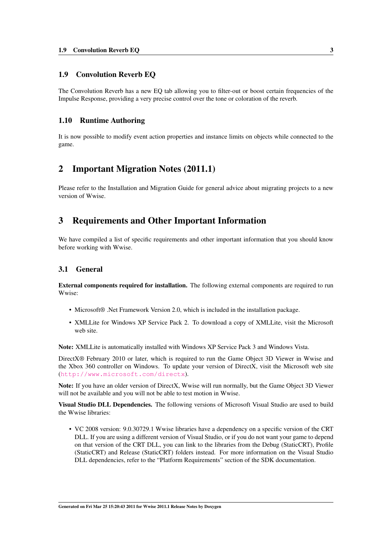#### <span id="page-4-0"></span>1.9 Convolution Reverb EQ

The Convolution Reverb has a new EQ tab allowing you to filter-out or boost certain frequencies of the Impulse Response, providing a very precise control over the tone or coloration of the reverb.

#### <span id="page-4-1"></span>1.10 Runtime Authoring

It is now possible to modify event action properties and instance limits on objects while connected to the game.

## <span id="page-4-2"></span>2 Important Migration Notes (2011.1)

Please refer to the Installation and Migration Guide for general advice about migrating projects to a new version of Wwise.

## <span id="page-4-3"></span>3 Requirements and Other Important Information

We have compiled a list of specific requirements and other important information that you should know before working with Wwise.

#### <span id="page-4-4"></span>3.1 General

External components required for installation. The following external components are required to run Wwise:

- Microsoft<sup>®</sup> .Net Framework Version 2.0, which is included in the installation package.
- XMLLite for Windows XP Service Pack 2. To download a copy of XMLLite, visit the Microsoft web site.

Note: XMLLite is automatically installed with Windows XP Service Pack 3 and Windows Vista.

DirectX® February 2010 or later, which is required to run the Game Object 3D Viewer in Wwise and the Xbox 360 controller on Windows. To update your version of DirectX, visit the Microsoft web site (<http://www.microsoft.com/directx>).

Note: If you have an older version of DirectX, Wwise will run normally, but the Game Object 3D Viewer will not be available and you will not be able to test motion in Wwise.

Visual Studio DLL Dependencies. The following versions of Microsoft Visual Studio are used to build the Wwise libraries:

• VC 2008 version: 9.0.30729.1 Wwise libraries have a dependency on a specific version of the CRT DLL. If you are using a different version of Visual Studio, or if you do not want your game to depend on that version of the CRT DLL, you can link to the libraries from the Debug (StaticCRT), Profile (StaticCRT) and Release (StaticCRT) folders instead. For more information on the Visual Studio DLL dependencies, refer to the "Platform Requirements" section of the SDK documentation.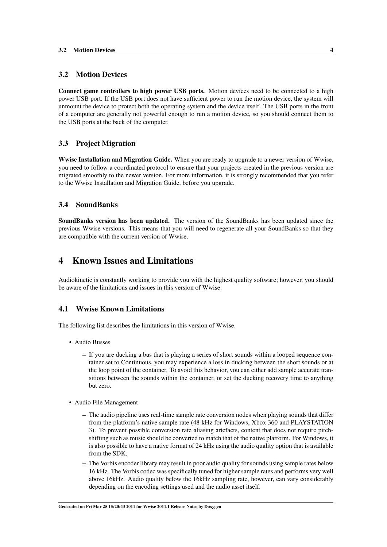#### <span id="page-5-0"></span>3.2 Motion Devices

Connect game controllers to high power USB ports. Motion devices need to be connected to a high power USB port. If the USB port does not have sufficient power to run the motion device, the system will unmount the device to protect both the operating system and the device itself. The USB ports in the front of a computer are generally not powerful enough to run a motion device, so you should connect them to the USB ports at the back of the computer.

#### <span id="page-5-1"></span>3.3 Project Migration

Wwise Installation and Migration Guide. When you are ready to upgrade to a newer version of Wwise, you need to follow a coordinated protocol to ensure that your projects created in the previous version are migrated smoothly to the newer version. For more information, it is strongly recommended that you refer to the Wwise Installation and Migration Guide, before you upgrade.

#### <span id="page-5-2"></span>3.4 SoundBanks

SoundBanks version has been updated. The version of the SoundBanks has been updated since the previous Wwise versions. This means that you will need to regenerate all your SoundBanks so that they are compatible with the current version of Wwise.

## <span id="page-5-3"></span>4 Known Issues and Limitations

Audiokinetic is constantly working to provide you with the highest quality software; however, you should be aware of the limitations and issues in this version of Wwise.

#### <span id="page-5-4"></span>4.1 Wwise Known Limitations

The following list describes the limitations in this version of Wwise.

- Audio Busses
	- If you are ducking a bus that is playing a series of short sounds within a looped sequence container set to Continuous, you may experience a loss in ducking between the short sounds or at the loop point of the container. To avoid this behavior, you can either add sample accurate transitions between the sounds within the container, or set the ducking recovery time to anything but zero.
- Audio File Management
	- The audio pipeline uses real-time sample rate conversion nodes when playing sounds that differ from the platform's native sample rate (48 kHz for Windows, Xbox 360 and PLAYSTATION 3). To prevent possible conversion rate aliasing artefacts, content that does not require pitchshifting such as music should be converted to match that of the native platform. For Windows, it is also possible to have a native format of 24 kHz using the audio quality option that is available from the SDK.
	- The Vorbis encoder library may result in poor audio quality for sounds using sample rates below 16 kHz. The Vorbis codec was specifically tuned for higher sample rates and performs very well above 16kHz. Audio quality below the 16kHz sampling rate, however, can vary considerably depending on the encoding settings used and the audio asset itself.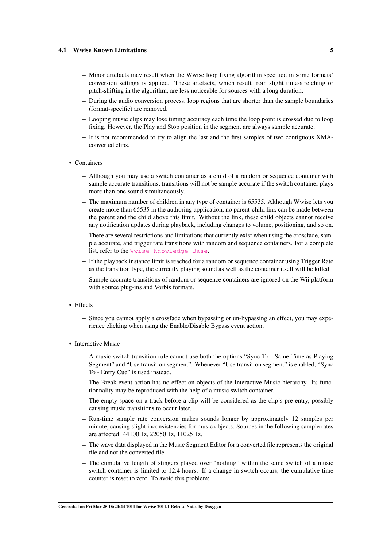- Minor artefacts may result when the Wwise loop fixing algorithm specified in some formats' conversion settings is applied. These artefacts, which result from slight time-stretching or pitch-shifting in the algorithm, are less noticeable for sources with a long duration.
- During the audio conversion process, loop regions that are shorter than the sample boundaries (format-specific) are removed.
- Looping music clips may lose timing accuracy each time the loop point is crossed due to loop fixing. However, the Play and Stop position in the segment are always sample accurate.
- It is not recommended to try to align the last and the first samples of two contiguous XMAconverted clips.
- Containers
	- Although you may use a switch container as a child of a random or sequence container with sample accurate transitions, transitions will not be sample accurate if the switch container plays more than one sound simultaneously.
	- The maximum number of children in any type of container is 65535. Although Wwise lets you create more than 65535 in the authoring application, no parent-child link can be made between the parent and the child above this limit. Without the link, these child objects cannot receive any notification updates during playback, including changes to volume, positioning, and so on.
	- There are several restrictions and limitations that currently exist when using the crossfade, sample accurate, and trigger rate transitions with random and sequence containers. For a complete list, refer to the [Wwise Knowledge Base](http://kb.gowwise.com/).
	- If the playback instance limit is reached for a random or sequence container using Trigger Rate as the transition type, the currently playing sound as well as the container itself will be killed.
	- Sample accurate transitions of random or sequence containers are ignored on the Wii platform with source plug-ins and Vorbis formats.
- Effects
	- Since you cannot apply a crossfade when bypassing or un-bypassing an effect, you may experience clicking when using the Enable/Disable Bypass event action.
- Interactive Music
	- A music switch transition rule cannot use both the options "Sync To Same Time as Playing Segment" and "Use transition segment". Whenever "Use transition segment" is enabled, "Sync To - Entry Cue" is used instead.
	- The Break event action has no effect on objects of the Interactive Music hierarchy. Its functionnality may be reproduced with the help of a music switch container.
	- The empty space on a track before a clip will be considered as the clip's pre-entry, possibly causing music transitions to occur later.
	- Run-time sample rate conversion makes sounds longer by approximately 12 samples per minute, causing slight inconsistencies for music objects. Sources in the following sample rates are affected: 44100Hz, 22050Hz, 11025Hz.
	- The wave data displayed in the Music Segment Editor for a converted file represents the original file and not the converted file.
	- The cumulative length of stingers played over "nothing" within the same switch of a music switch container is limited to 12.4 hours. If a change in switch occurs, the cumulative time counter is reset to zero. To avoid this problem: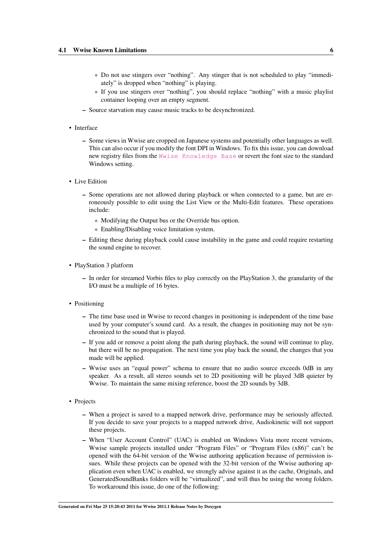- \* Do not use stingers over "nothing". Any stinger that is not scheduled to play "immediately" is dropped when "nothing" is playing.
- \* If you use stingers over "nothing", you should replace "nothing" with a music playlist container looping over an empty segment.
- Source starvation may cause music tracks to be desynchronized.
- Interface
	- Some views in Wwise are cropped on Japanese systems and potentially other languages as well. This can also occur if you modify the font DPI in Windows. To fix this issue, you can download new registry files from the [Wwise Knowledge Base](http://kb.gowwise.com/) or revert the font size to the standard Windows setting.
- Live Edition
	- Some operations are not allowed during playback or when connected to a game, but are erroneously possible to edit using the List View or the Multi-Edit features. These operations include:
		- \* Modifying the Output bus or the Override bus option.
		- \* Enabling/Disabling voice limitation system.
	- Editing these during playback could cause instability in the game and could require restarting the sound engine to recover.
- PlayStation 3 platform
	- In order for streamed Vorbis files to play correctly on the PlayStation 3, the granularity of the I/O must be a multiple of 16 bytes.
- Positioning
	- The time base used in Wwise to record changes in positioning is independent of the time base used by your computer's sound card. As a result, the changes in positioning may not be synchronized to the sound that is played.
	- If you add or remove a point along the path during playback, the sound will continue to play, but there will be no propagation. The next time you play back the sound, the changes that you made will be applied.
	- Wwise uses an "equal power" schema to ensure that no audio source exceeds 0dB in any speaker. As a result, all stereo sounds set to 2D positioning will be played 3dB quieter by Wwise. To maintain the same mixing reference, boost the 2D sounds by 3dB.
- Projects
	- When a project is saved to a mapped network drive, performance may be seriously affected. If you decide to save your projects to a mapped network drive, Audiokinetic will not support these projects.
	- When "User Account Control" (UAC) is enabled on Windows Vista more recent versions, Wwise sample projects installed under "Program Files" or "Program Files (x86)" can't be opened with the 64-bit version of the Wwise authoring application because of permission issues. While these projects can be opened with the 32-bit version of the Wwise authoring application even when UAC is enabled, we strongly advise against it as the cache, Originals, and GeneratedSoundBanks folders will be "virtualized", and will thus be using the wrong folders. To workaround this issue, do one of the following: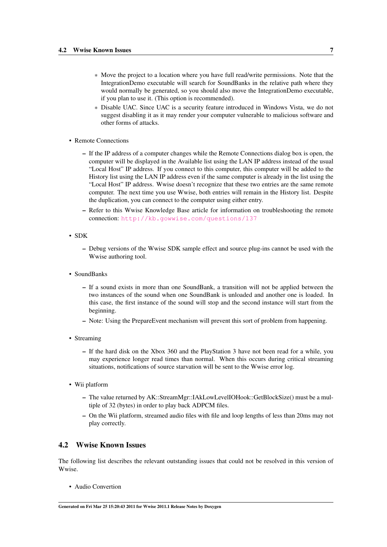- \* Move the project to a location where you have full read/write permissions. Note that the IntegrationDemo executable will search for SoundBanks in the relative path where they would normally be generated, so you should also move the IntegrationDemo executable, if you plan to use it. (This option is recommended).
- \* Disable UAC. Since UAC is a security feature introduced in Windows Vista, we do not suggest disabling it as it may render your computer vulnerable to malicious software and other forms of attacks.
- Remote Connections
	- If the IP address of a computer changes while the Remote Connections dialog box is open, the computer will be displayed in the Available list using the LAN IP address instead of the usual "Local Host" IP address. If you connect to this computer, this computer will be added to the History list using the LAN IP address even if the same computer is already in the list using the "Local Host" IP address. Wwise doesn't recognize that these two entries are the same remote computer. The next time you use Wwise, both entries will remain in the History list. Despite the duplication, you can connect to the computer using either entry.
	- Refer to this Wwise Knowledge Base article for information on troubleshooting the remote connection: <http://kb.gowwise.com/questions/137>
- SDK
	- Debug versions of the Wwise SDK sample effect and source plug-ins cannot be used with the Wwise authoring tool.
- SoundBanks
	- If a sound exists in more than one SoundBank, a transition will not be applied between the two instances of the sound when one SoundBank is unloaded and another one is loaded. In this case, the first instance of the sound will stop and the second instance will start from the beginning.
	- Note: Using the PrepareEvent mechanism will prevent this sort of problem from happening.
- Streaming
	- If the hard disk on the Xbox 360 and the PlayStation 3 have not been read for a while, you may experience longer read times than normal. When this occurs during critical streaming situations, notifications of source starvation will be sent to the Wwise error log.
- Wii platform
	- The value returned by AK::StreamMgr::IAkLowLevelIOHook::GetBlockSize() must be a multiple of 32 (bytes) in order to play back ADPCM files.
	- On the Wii platform, streamed audio files with file and loop lengths of less than 20ms may not play correctly.

#### <span id="page-8-0"></span>4.2 Wwise Known Issues

The following list describes the relevant outstanding issues that could not be resolved in this version of Wwise.

• Audio Convertion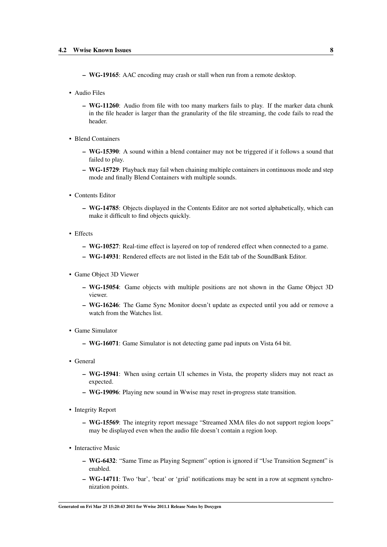- WG-19165: AAC encoding may crash or stall when run from a remote desktop.
- Audio Files
	- WG-11260: Audio from file with too many markers fails to play. If the marker data chunk in the file header is larger than the granularity of the file streaming, the code fails to read the header.
- Blend Containers
	- WG-15390: A sound within a blend container may not be triggered if it follows a sound that failed to play.
	- WG-15729: Playback may fail when chaining multiple containers in continuous mode and step mode and finally Blend Containers with multiple sounds.
- Contents Editor
	- WG-14785: Objects displayed in the Contents Editor are not sorted alphabetically, which can make it difficult to find objects quickly.
- Effects
	- WG-10527: Real-time effect is layered on top of rendered effect when connected to a game.
	- WG-14931: Rendered effects are not listed in the Edit tab of the SoundBank Editor.
- Game Object 3D Viewer
	- WG-15054: Game objects with multiple positions are not shown in the Game Object 3D viewer.
	- WG-16246: The Game Sync Monitor doesn't update as expected until you add or remove a watch from the Watches list.
- Game Simulator
	- WG-16071: Game Simulator is not detecting game pad inputs on Vista 64 bit.
- General
	- WG-15941: When using certain UI schemes in Vista, the property sliders may not react as expected.
	- WG-19096: Playing new sound in Wwise may reset in-progress state transition.
- Integrity Report
	- WG-15569: The integrity report message "Streamed XMA files do not support region loops" may be displayed even when the audio file doesn't contain a region loop.
- Interactive Music
	- WG-6432: "Same Time as Playing Segment" option is ignored if "Use Transition Segment" is enabled.
	- WG-14711: Two 'bar', 'beat' or 'grid' notifications may be sent in a row at segment synchronization points.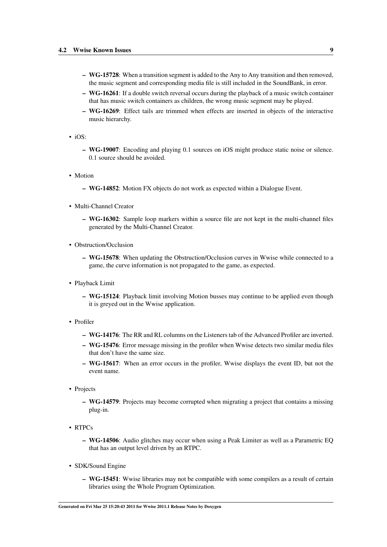- WG-15728: When a transition segment is added to the Any to Any transition and then removed, the music segment and corresponding media file is still included in the SoundBank, in error.
- WG-16261: If a double switch reversal occurs during the playback of a music switch container that has music switch containers as children, the wrong music segment may be played.
- WG-16269: Effect tails are trimmed when effects are inserted in objects of the interactive music hierarchy.
- $\cdot$  iOS:
	- WG-19007: Encoding and playing 0.1 sources on iOS might produce static noise or silence. 0.1 source should be avoided.
- Motion
	- WG-14852: Motion FX objects do not work as expected within a Dialogue Event.
- Multi-Channel Creator
	- WG-16302: Sample loop markers within a source file are not kept in the multi-channel files generated by the Multi-Channel Creator.
- Obstruction/Occlusion
	- WG-15678: When updating the Obstruction/Occlusion curves in Wwise while connected to a game, the curve information is not propagated to the game, as expected.
- Playback Limit
	- WG-15124: Playback limit involving Motion busses may continue to be applied even though it is greyed out in the Wwise application.
- Profiler
	- WG-14176: The RR and RL columns on the Listeners tab of the Advanced Profiler are inverted.
	- WG-15476: Error message missing in the profiler when Wwise detects two similar media files that don't have the same size.
	- WG-15617: When an error occurs in the profiler, Wwise displays the event ID, but not the event name.
- Projects
	- WG-14579: Projects may become corrupted when migrating a project that contains a missing plug-in.
- RTPCs
	- WG-14506: Audio glitches may occur when using a Peak Limiter as well as a Parametric EQ that has an output level driven by an RTPC.
- SDK/Sound Engine
	- WG-15451: Wwise libraries may not be compatible with some compilers as a result of certain libraries using the Whole Program Optimization.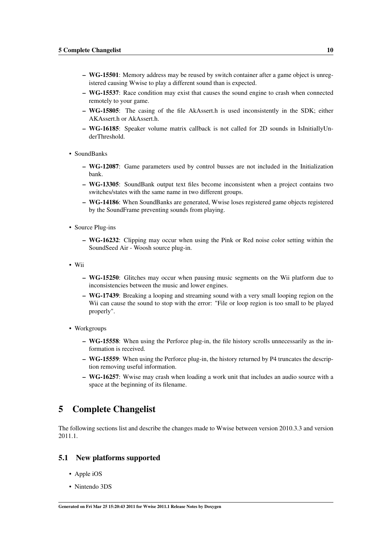- WG-15501: Memory address may be reused by switch container after a game object is unregistered causing Wwise to play a different sound than is expected.
- WG-15537: Race condition may exist that causes the sound engine to crash when connected remotely to your game.
- WG-15805: The casing of the file AkAssert.h is used inconsistently in the SDK; either AKAssert.h or AkAssert.h.
- WG-16185: Speaker volume matrix callback is not called for 2D sounds in IsInitiallyUnderThreshold.
- SoundBanks
	- WG-12087: Game parameters used by control busses are not included in the Initialization bank.
	- WG-13305: SoundBank output text files become inconsistent when a project contains two switches/states with the same name in two different groups.
	- WG-14186: When SoundBanks are generated, Wwise loses registered game objects registered by the SoundFrame preventing sounds from playing.
- Source Plug-ins
	- WG-16232: Clipping may occur when using the Pink or Red noise color setting within the SoundSeed Air - Woosh source plug-in.
- Wii
	- WG-15250: Glitches may occur when pausing music segments on the Wii platform due to inconsistencies between the music and lower engines.
	- WG-17439: Breaking a looping and streaming sound with a very small looping region on the Wii can cause the sound to stop with the error: "File or loop region is too small to be played properly".
- Workgroups
	- WG-15558: When using the Perforce plug-in, the file history scrolls unnecessarily as the information is received.
	- WG-15559: When using the Perforce plug-in, the history returned by P4 truncates the description removing useful information.
	- WG-16257: Wwise may crash when loading a work unit that includes an audio source with a space at the beginning of its filename.

## <span id="page-11-0"></span>5 Complete Changelist

The following sections list and describe the changes made to Wwise between version 2010.3.3 and version 2011.1.

#### <span id="page-11-1"></span>5.1 New platforms supported

- Apple iOS
- Nintendo 3DS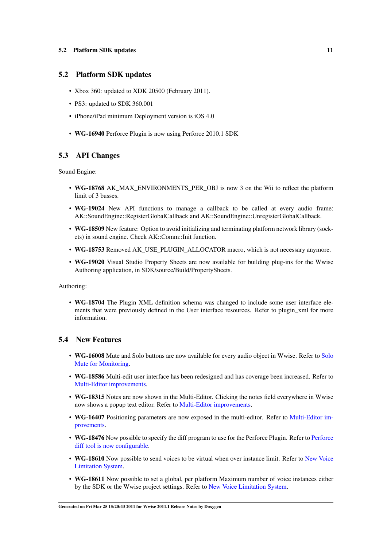#### <span id="page-12-0"></span>5.2 Platform SDK updates

- Xbox 360: updated to XDK 20500 (February 2011).
- PS3: updated to SDK 360.001
- iPhone/iPad minimum Deployment version is iOS 4.0
- WG-16940 Perforce Plugin is now using Perforce 2010.1 SDK

#### <span id="page-12-1"></span>5.3 API Changes

Sound Engine:

- WG-18768 AK\_MAX\_ENVIRONMENTS\_PER\_OBJ is now 3 on the Wii to reflect the platform limit of 3 busses.
- WG-19024 New API functions to manage a callback to be called at every audio frame: AK::SoundEngine::RegisterGlobalCallback and AK::SoundEngine::UnregisterGlobalCallback.
- WG-18509 New feature: Option to avoid initializing and terminating platform network library (sockets) in sound engine. Check AK::Comm::Init function.
- WG-18753 Removed AK\_USE\_PLUGIN\_ALLOCATOR macro, which is not necessary anymore.
- WG-19020 Visual Studio Property Sheets are now available for building plug-ins for the Wwise Authoring application, in SDK/source/Build/PropertySheets.

Authoring:

• WG-18704 The Plugin XML definition schema was changed to include some user interface elements that were previously defined in the User interface resources. Refer to plugin\_xml for more information.

#### <span id="page-12-2"></span>5.4 New Features

- WG-16008 Mute and Solo buttons are now available for every audio object in Wwise. Refer to [Solo](#page-2-4) [Mute for Monitoring.](#page-2-4)
- WG-18586 Multi-edit user interface has been redesigned and has coverage been increased. Refer to [Multi-Editor improvements.](#page-3-5)
- WG-18315 Notes are now shown in the Multi-Editor. Clicking the notes field everywhere in Wwise now shows a popup text editor. Refer to [Multi-Editor improvements.](#page-3-5)
- WG-16407 Positioning parameters are now exposed in the multi-editor. Refer to [Multi-Editor im](#page-3-5)[provements.](#page-3-5)
- WG-18476 Now possible to specify the diff program to use for the Perforce Plugin. Refer to [Perforce](#page-3-6) [diff tool is now configurable.](#page-3-6)
- WG-18610 Now possible to send voices to be virtual when over instance limit. Refer to [New Voice](#page-2-5) [Limitation System.](#page-2-5)
- WG-18611 Now possible to set a global, per platform Maximum number of voice instances either by the SDK or the Wwise project settings. Refer to [New Voice Limitation System.](#page-2-5)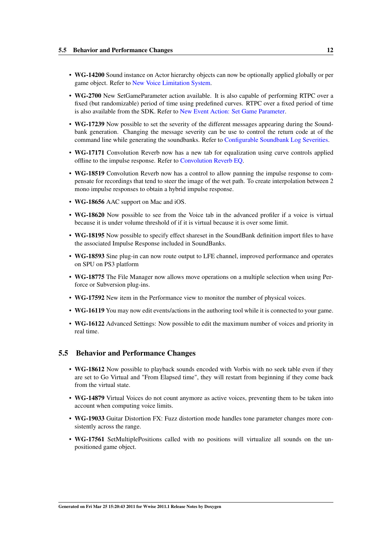- WG-14200 Sound instance on Actor hierarchy objects can now be optionally applied globally or per game object. Refer to [New Voice Limitation System.](#page-2-5)
- WG-2700 New SetGameParameter action available. It is also capable of performing RTPC over a fixed (but randomizable) period of time using predefined curves. RTPC over a fixed period of time is also available from the SDK. Refer to [New Event Action: Set Game Parameter.](#page-3-7)
- WG-17239 Now possible to set the severity of the different messages appearing during the Soundbank generation. Changing the message severity can be use to control the return code at of the command line while generating the soundbanks. Refer to [Configurable Soundbank Log Severities.](#page-3-8)
- WG-17171 Convolution Reverb now has a new tab for equalization using curve controls applied offline to the impulse response. Refer to [Convolution Reverb EQ.](#page-3-9)
- WG-18519 Convolution Reverb now has a control to allow panning the impulse response to compensate for recordings that tend to steer the image of the wet path. To create interpolation between 2 mono impulse responses to obtain a hybrid impulse response.
- WG-18656 AAC support on Mac and iOS.
- WG-18620 Now possible to see from the Voice tab in the advanced profiler if a voice is virtual because it is under volume threshold of if it is virtual because it is over some limit.
- WG-18195 Now possible to specify effect shareset in the SoundBank definition import files to have the associated Impulse Response included in SoundBanks.
- WG-18593 Sine plug-in can now route output to LFE channel, improved performance and operates on SPU on PS3 platform
- WG-18775 The File Manager now allows move operations on a multiple selection when using Perforce or Subversion plug-ins.
- WG-17592 New item in the Performance view to monitor the number of physical voices.
- WG-16119 You may now edit events/actions in the authoring tool while it is connected to your game.
- WG-16122 Advanced Settings: Now possible to edit the maximum number of voices and priority in real time.

#### <span id="page-13-0"></span>5.5 Behavior and Performance Changes

- WG-18612 Now possible to playback sounds encoded with Vorbis with no seek table even if they are set to Go Virtual and "From Elapsed time", they will restart from beginning if they come back from the virtual state.
- WG-14879 Virtual Voices do not count anymore as active voices, preventing them to be taken into account when computing voice limits.
- WG-19033 Guitar Distortion FX: Fuzz distortion mode handles tone parameter changes more consistently across the range.
- WG-17561 SetMultiplePositions called with no positions will virtualize all sounds on the unpositioned game object.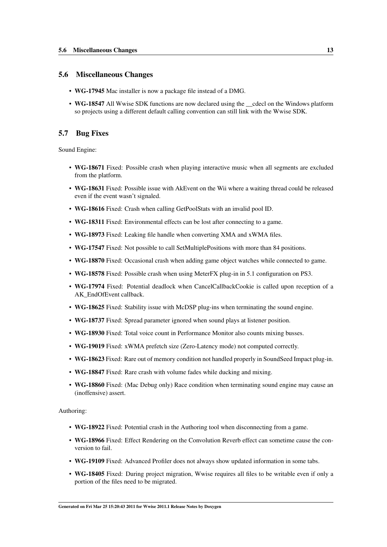#### <span id="page-14-0"></span>5.6 Miscellaneous Changes

- WG-17945 Mac installer is now a package file instead of a DMG.
- WG-18547 All Wwise SDK functions are now declared using the \_\_cdecl on the Windows platform so projects using a different default calling convention can still link with the Wwise SDK.

#### <span id="page-14-1"></span>5.7 Bug Fixes

Sound Engine:

- WG-18671 Fixed: Possible crash when playing interactive music when all segments are excluded from the platform.
- WG-18631 Fixed: Possible issue with AkEvent on the Wii where a waiting thread could be released even if the event wasn't signaled.
- WG-18616 Fixed: Crash when calling GetPoolStats with an invalid pool ID.
- WG-18311 Fixed: Environmental effects can be lost after connecting to a game.
- WG-18973 Fixed: Leaking file handle when converting XMA and xWMA files.
- WG-17547 Fixed: Not possible to call SetMultiplePositions with more than 84 positions.
- WG-18870 Fixed: Occasional crash when adding game object watches while connected to game.
- WG-18578 Fixed: Possible crash when using MeterFX plug-in in 5.1 configuration on PS3.
- WG-17974 Fixed: Potential deadlock when CancelCallbackCookie is called upon reception of a AK\_EndOfEvent callback.
- WG-18625 Fixed: Stability issue with McDSP plug-ins when terminating the sound engine.
- WG-18737 Fixed: Spread parameter ignored when sound plays at listener position.
- WG-18930 Fixed: Total voice count in Performance Monitor also counts mixing busses.
- WG-19019 Fixed: xWMA prefetch size (Zero-Latency mode) not computed correctly.
- WG-18623 Fixed: Rare out of memory condition not handled properly in SoundSeed Impact plug-in.
- WG-18847 Fixed: Rare crash with volume fades while ducking and mixing.
- WG-18860 Fixed: (Mac Debug only) Race condition when terminating sound engine may cause an (inoffensive) assert.

Authoring:

- WG-18922 Fixed: Potential crash in the Authoring tool when disconnecting from a game.
- WG-18966 Fixed: Effect Rendering on the Convolution Reverb effect can sometime cause the conversion to fail.
- WG-19109 Fixed: Advanced Profiler does not always show updated information in some tabs.
- WG-18405 Fixed: During project migration, Wwise requires all files to be writable even if only a portion of the files need to be migrated.